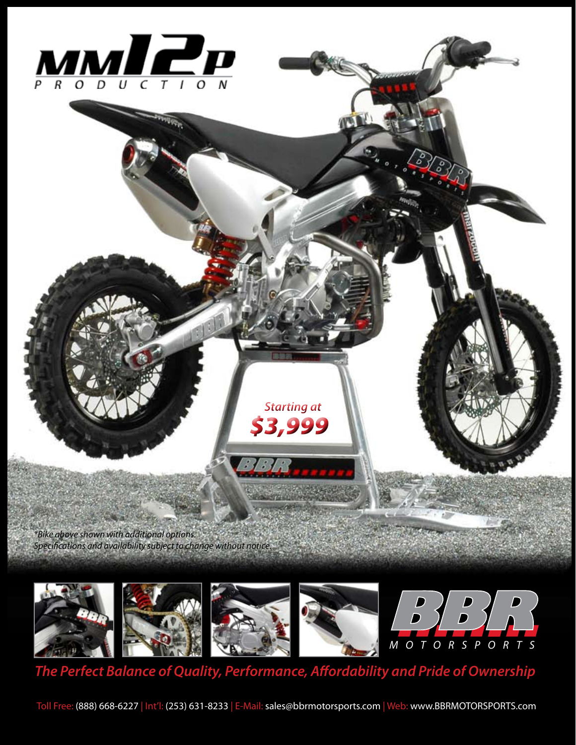

*\*Bike above shown with additional options. Specifications and availability subject to change without notice.*



 *Starting at* 

*\$3,999*

 $\mathcal{E}$ 

*The Perfect Balance of Quality, Performance, Affordability and Pride of Ownership*

Toll Free: (888) 668-6227 | Int'l: (253) 631-8233 | E-Mail: sales@bbrmotorsports.com | Web: www.BBRMOTORSPORTS.com